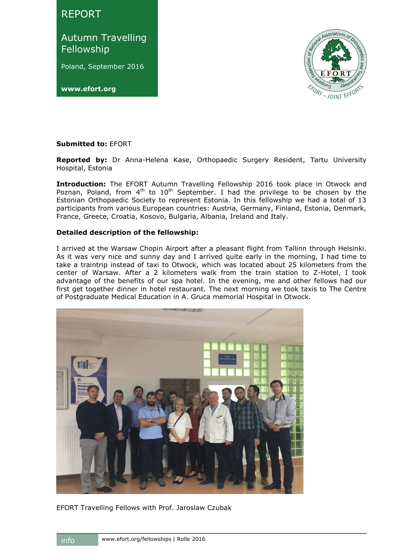Autumn Travelling Fellowship

Poland, September 2016

**www.efort.org**



### **Submitted to:** EFORT

**Reported by:** Dr Anna-Helena Kase, Orthopaedic Surgery Resident, Tartu University Hospital, Estonia

**Introduction:** The EFORT Autumn Travelling Fellowship 2016 took place in Otwock and Poznan, Poland, from  $4<sup>th</sup>$  to  $10<sup>th</sup>$  September. I had the privilege to be chosen by the Estonian Orthopaedic Society to represent Estonia. In this fellowship we had a total of 13 participants from various European countries: Austria, Germany, Finland, Estonia, Denmark, France, Greece, Croatia, Kosovo, Bulgaria, Albania, Ireland and Italy.

#### **Detailed description of the fellowship:**

I arrived at the Warsaw Chopin Airport after a pleasant flight from Tallinn through Helsinki. As it was very nice and sunny day and I arrived quite early in the morning, I had time to take a traintrip instead of taxi to Otwock, which was located about 25 kilometers from the center of Warsaw. After a 2 kilometers walk from the train station to Z-Hotel, I took advantage of the benefits of our spa hotel. In the evening, me and other fellows had our first get together dinner in hotel restaurant. The next morning we took taxis to The Centre of Postgraduate Medical Education in A. Gruca memorial Hospital in Otwock.



EFORT Travelling Fellows with Prof. Jaroslaw Czubak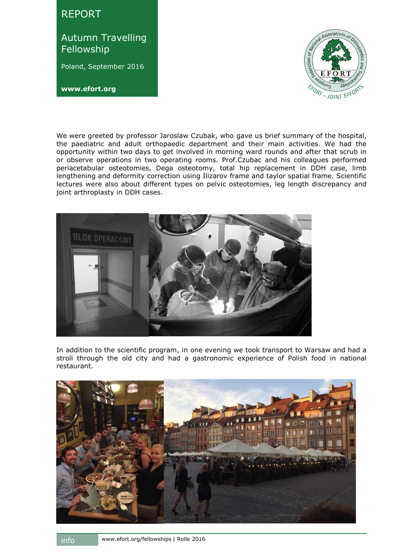Autumn Travelling Fellowship

Poland, September 2016

**www.efort.org**



We were greeted by professor Jaroslaw Czubak, who gave us brief summary of the hospital, the paediatric and adult orthopaedic department and their main activities. We had the opportunity within two days to get involved in morning ward rounds and after that scrub in or observe operations in two operating rooms. Prof.Czubac and his colleagues performed periacetabular osteotomies, Dega osteotomy, total hip replacement in DDH case, limb lengthening and deformity correction using Ilizarov frame and taylor spatial frame. Scientific lectures were also about different types on pelvic osteotomies, leg length discrepancy and joint arthroplasty in DDH cases.



In addition to the scientific program, in one evening we took transport to Warsaw and had a stroll through the old city and had a gastronomic experience of Polish food in national restaurant.

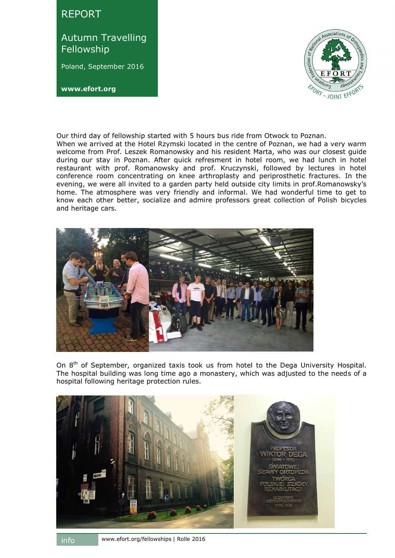Autumn Travelling Fellowship

Poland, September 2016

**www.efort.org**



Our third day of fellowship started with 5 hours bus ride from Otwock to Poznan. When we arrived at the Hotel Rzymski located in the centre of Poznan, we had a very warm welcome from Prof. Leszek Romanowsky and his resident Marta, who was our closest guide during our stay in Poznan. After quick refresment in hotel room, we had lunch in hotel restaurant with prof. Romanowsky and prof. Kruczynski, followed by lectures in hotel conference room concentrating on knee arthroplasty and periprosthetic fractures. In the evening, we were all invited to a garden party held outside city limits in prof.Romanowsky's home. The atmosphere was very friendly and informal. We had wonderful time to get to know each other better, socialize and admire professors great collection of Polish bicycles and heritage cars.



On 8<sup>th</sup> of September, organized taxis took us from hotel to the Dega University Hospital. The hospital building was long time ago a monastery, which was adjusted to the needs of a hospital following heritage protection rules.

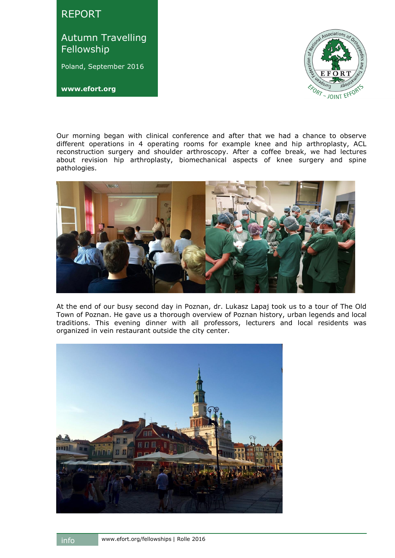Autumn Travelling Fellowship

Poland, September 2016

**www.efort.org**



Our morning began with clinical conference and after that we had a chance to observe different operations in 4 operating rooms for example knee and hip arthroplasty, ACL reconstruction surgery and shoulder arthroscopy. After a coffee break, we had lectures about revision hip arthroplasty, biomechanical aspects of knee surgery and spine pathologies.



At the end of our busy second day in Poznan, dr. Lukasz Lapaj took us to a tour of The Old Town of Poznan. He gave us a thorough overview of Poznan history, urban legends and local traditions. This evening dinner with all professors, lecturers and local residents was organized in vein restaurant outside the city center.

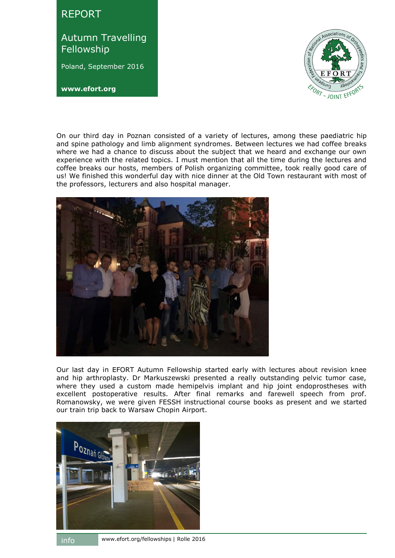Autumn Travelling Fellowship

Poland, September 2016

**www.efort.org**



On our third day in Poznan consisted of a variety of lectures, among these paediatric hip and spine pathology and limb alignment syndromes. Between lectures we had coffee breaks where we had a chance to discuss about the subject that we heard and exchange our own experience with the related topics. I must mention that all the time during the lectures and coffee breaks our hosts, members of Polish organizing committee, took really good care of us! We finished this wonderful day with nice dinner at the Old Town restaurant with most of the professors, lecturers and also hospital manager.



Our last day in EFORT Autumn Fellowship started early with lectures about revision knee and hip arthroplasty. Dr Markuszewski presented a really outstanding pelvic tumor case, where they used a custom made hemipelvis implant and hip joint endoprostheses with excellent postoperative results. After final remarks and farewell speech from prof. Romanowsky, we were given FESSH instructional course books as present and we started our train trip back to Warsaw Chopin Airport.